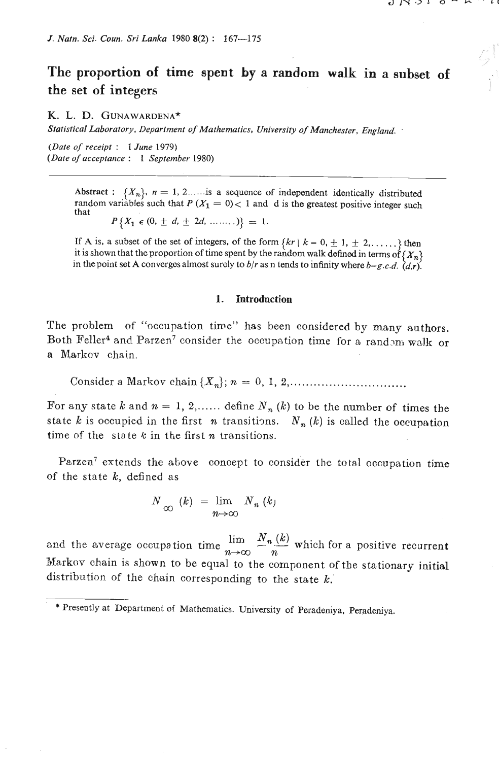# **The proportion of time spent by a random walk in a subset of the** *set* **of integers**

#### **K.** L. D. **GUNAWARDENA\***

*Statistical Laboratory, Department of Mathematics, University* **of** *Munchester, England.* 

*(Date of receipt* : *1 June* **1979)**  *(Date of acceptance* : *1 September* **1980)** 

> Abstract :  $\{X_n\}$ ,  $n = 1, 2, \ldots$  is a sequence of independent identically distributed random variables such that  $P(X_1 = 0) < 1$  and d is the greatest positive integer such that  $P\{X_1 \in (0, \pm d, \pm 2d, \ldots) \} = 1.$

> If A is, a subset of the set of integers, of the form  $\{kr \mid k = 0, \pm 1, \pm 2, \ldots \}$  then it is shown that the proportion of time spent by the random walk defined in terms of  $\{X_n\}$ in the point set A converges almost surely to  $b/r$  as n tends to infinity where  $b = g.c.d.$   $(d, r)$ .

#### **1. Introduction**

The problem of "occupation time" has been considered by many authors. Both Feller<sup>4</sup> and Parzen<sup>7</sup> consider the occupation time for a random walk or a Markcv chain.

Consider a Markov chain **{X,);** n = 0, **1, 2** , ..............................

For any state k and  $n = 1, 2, \ldots$  define  $N_n (k)$  to be the number of times the state *k* is occupied in the first *n* transitions.  $N_n(k)$  is called the occupation time of the state  $k$  in the first n transitions.

Parzen<sup>7</sup> extends the above concept to consider the total occupation time of the state  $k$ , defined as

$$
N_{\infty}(k) = \lim_{n \to \infty} N_n(k)
$$

and the average occupation time  $\lim_{n\to\infty} \frac{N_n(k)}{n}$  which for a positive recurrent Markov chain is shown to be equal to the component of the stationary initial distribution of the chain corresponding to the state  $k$ .

<sup>\*</sup> Presently at Department of Mathematics. University of Peradeniya, Peradeniya.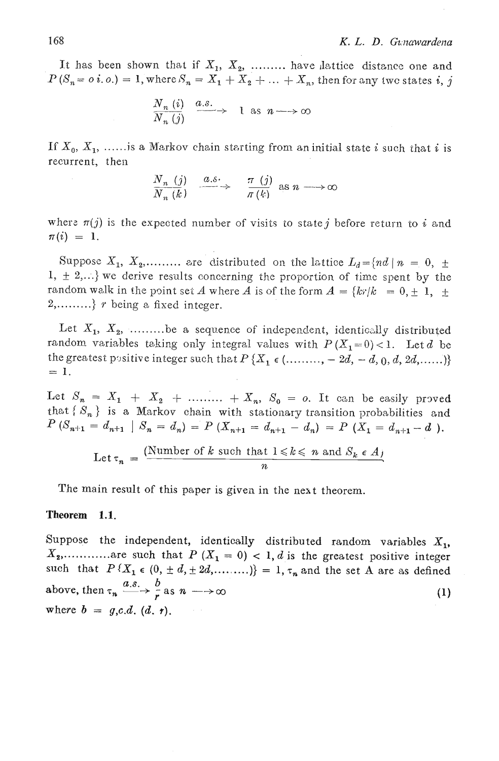It has been shown that if  $X_1, X_2, \ldots$  have lattice distance one and  $P(S_n = o i.o.) = 1$ , where  $S_n = X_1 + X_2 + ... + X_n$ , then for any two states i, j

$$
\frac{N_n(i)}{N_n(j)} \xrightarrow{a.s.} 1 \text{ as } n \longrightarrow \infty
$$

If  $X_0, X_1, \ldots$  is a Markov chain starting from an initial state i such that i is recurrent, then

$$
\frac{N_n(j)}{N_n(k)} \xrightarrow{\alpha.s.} \frac{\pi(j)}{\pi(k)} \text{ as } n \longrightarrow \infty
$$

where  $\pi(j)$  is the expected number of visits to state j before return to i and  $\pi(i) = 1.$ 

Suppose  $X_1, X_2, \ldots$  are distributed on the lattice  $L_d = \{nd \mid n = 0, \pm 1\}$  $1, \pm 2,...$  we derive results concerning the proportion of time spent by the random walk in the point set A where A is of the form  $A = \{kr/k = 0, \pm 1, \pm 1\}$  $2, \ldots \ldots$  r being a fixed integer.

Let  $X_1, X_2, \ldots$  be a sequence of independent, identically distributed random variables taking only integral values with  $P(X_1=0)$ <1. Let d be the greatest positive integer such that  $P\{X_1 \in (..........., -2d, -d, 0, d, 2d, ....)\}$  $= 1$ .

Let  $S_n = X_1 + X_2 + \dots + X_n$ ,  $S_0 = o$ . It can be easily proved that  $\{S_n\}$  is a Markov chain with stationary transition probabilities and  $P(S_{n+1} = d_{n+1} | S_n = d_n) = P(X_{n+1} = d_{n+1} - d_n) = P(X_1 = d_{n+1} - d).$ 

Let 
$$
\tau_n = \frac{\text{(Number of } k \text{ such that } 1 \leq k \leq n \text{ and } S_k \in A)}{n}
$$

The main result of this paper is given in the next theorem.

#### Theorem  $1.1.$

Suppose the independent, identically distributed random variables  $X_1$ ,  $X_2, \ldots \ldots \ldots$  are such that  $P(X_1 = 0) < 1$ , d is the greatest positive integer such that  $P\{X_1 \in (0, \pm d, \pm 2d, \dots \dots )\} = 1, \tau_n$  and the set A are as defined above, then  $\tau_n \xrightarrow{a.s.} \frac{b}{r}$  as  $n \longrightarrow \infty$  $\left(1\right)$ where  $b = g,c.d.$  (d. r).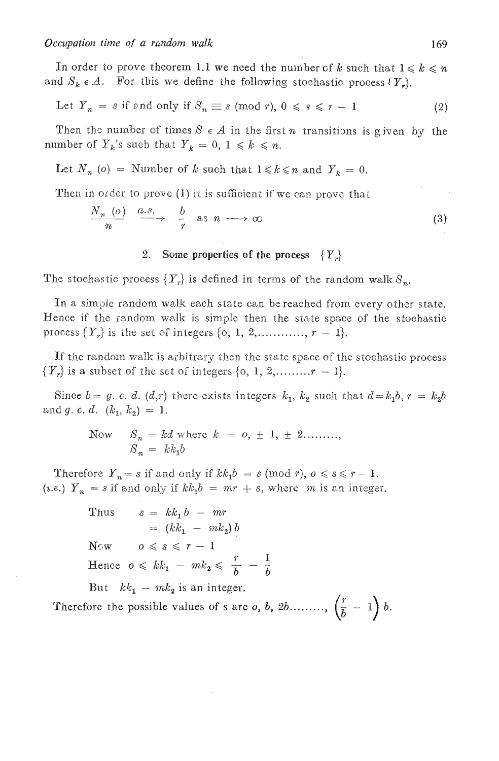In order to prove theorem 1.1 we need the number of k such that  $1 \leq k \leq n$ and  $S_k \in A$ . For this we define the following stochastic process  $\{Y_k\}$ .

Let 
$$
Y_n = s
$$
 if and only if  $S_n \equiv s \pmod{r}$ ,  $0 \leq s \leq r - 1$  (2)

Then the number of times  $S \in A$  in the first *n* transitions is given by the number of  $Y_k$ 's such that  $Y_k = 0, 1 \le k \le n$ .

Let  $N_n$  (o) = Number of k such that  $1 \le k \le n$  and  $Y_k = 0$ .

Then in order to prove  $(1)$  it is sufficient if we can prove that

$$
\frac{N_n(o)}{n} \xrightarrow{a.s.} \frac{b}{r} \text{ as } n \longrightarrow \infty
$$
 (3)

#### $2.$ Some properties of the process  $\{Y_n\}$

The stochastic process  $\{Y_r\}$  is defined in terms of the random walk  $S_n$ .

In a simple random walk each state can be reached from every other state. Hence if the random walk is simple then the state space of the stochastic process  $\{Y_r\}$  is the set of integers  $\{0, 1, 2, \ldots, r-1\}.$ 

If the random walk is arbitrary then the state space of the stochastic process  $\{Y_r\}$  is a subset of the set of integers  $\{0, 1, 2, \ldots, r-1\}$ .

Since  $b = g$ , c. d. (d,r) there exists integers  $k_1$ ,  $k_2$  such that  $d = k_1b$ ,  $r = k_2b$ and g. c. d.  $(k_1, k_2) = 1$ .

> Now  $S_n = kd$  where  $k = 0, \pm 1, \pm 2...$ ...  $S_n = kk_1b$

Therefore  $Y_n = s$  if and only if  $kk_1b = s \pmod{r}$ ,  $0 \le s \le r - 1$ . (*i.e.*)  $Y_n = s$  if and only if  $kk_1b = mr + s$ , where m is an integer.

> $s = kk_1 b - mr$ Thus  $= (kk_1 - mk_2) b$ Now  $o \leq s \leq r-1$ Hence  $o \leq k k_1 - m k_2 \leq \frac{r}{h} - \frac{1}{h}$ But  $kk_1 - mk_2$  is an integer.

Therefore the possible values of s are o, b, 2b........,  $\left(\frac{r}{b}-1\right)b$ .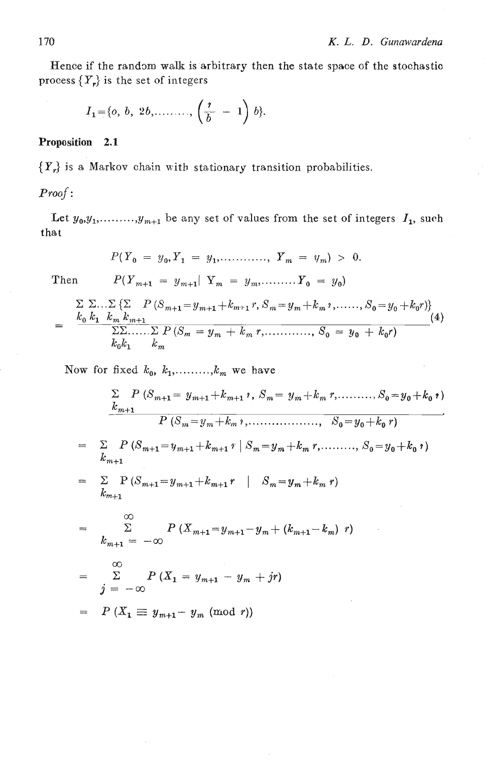Hence if the random walk is arbitrary then the state space of the stochastic process *(Y,)* is the set of integers

$$
I_1 = \{o, b, 2b, \ldots, \left(\frac{r}{b} - 1\right)b\}.
$$

### **Proposition 2.1**

 ${Y_r}$  is a Markov chain with stationary transition probabilities.

*Proof*:<br>Let  $y_0, y_1, \ldots, y_{m+1}$  be any set of values from the set of integers  $I_1$ , such that

$$
P(Y_0 = y_0, Y_1 = y_1, \dots, Y_m = y_m) > 0.
$$

Then  $P(Y_{m+1} = y_{m+1} | Y_m = y_m, \dots, Y_0 = y_0)$ 

$$
= \frac{\sum \sum ... \sum \{ \sum P (\mathcal{S}_{m+1} = y_{m+1} + k_{m+1} r, \mathcal{S}_m = y_m + k_m \, \mathbf{1}, \dots, \mathcal{S}_0 = y_0 + k_0 r) \}}{\sum \sum ... \sum P (\mathcal{S}_m = y_m + k_m \, \mathbf{1}, \dots, \mathcal{S}_0 = y_0 + k_0 r)} \tag{4}
$$
\n
$$
k_0 k_1 \quad k_m
$$

Now for fixed  $k_0, k_1, \ldots, k_m$  we have

$$
\frac{\sum\limits_{k_{m+1}} P(S_{m+1} = y_{m+1} + k_{m+1} \, , \, S_m = y_m + k_m \, , \, \dots \, , \, S_0 = y_0 + k_0 \, \cdot \, )}{P(S_m = y_m + k_m \, , \, \dots \, , \, \dots \, , \, S_0 = y_0 + k_0 \, \cdot \, )}
$$

- =  $\sum_{k_{m+1}} P(S_{m+1} = y_{m+1} + k_{m+1} r | S_m = y_m + k_m r, \dots, S_0 = y_0 + k_0 r)$
- $\sum_{k_{m+1}} P(S_{m+1} = y_{m+1} + k_{m+1} r \mid S_m = y_m + k_m r)$  $\equiv$

$$
= \sum_{k_{m+1} = -\infty}^{\infty} P(X_{m+1} = y_{m+1} - y_m + (k_{m+1} - k_m) r)
$$

$$
= \sum_{j=-\infty}^{\infty} P(X_1 = y_{m+1} - y_m + jr)
$$

$$
= P(X_1 \equiv y_{m+1} - y_m \pmod{r})
$$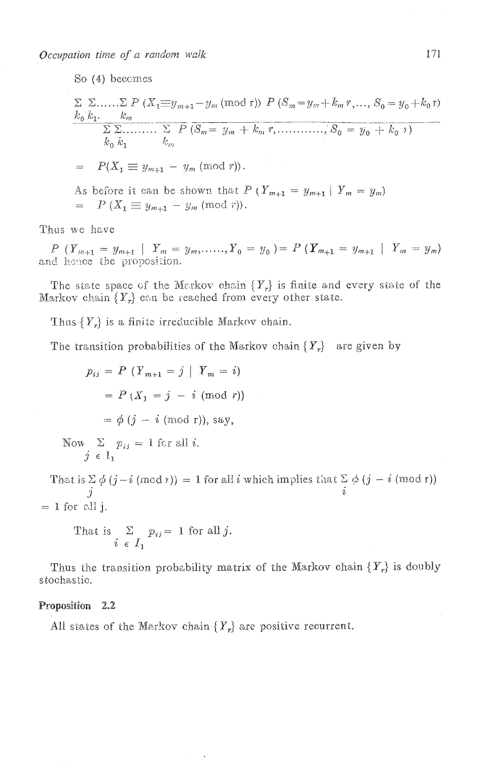Occupation time of a random walk

So (4) becomes

$$
\sum_{k_0} \sum_{k_1} \dots \sum_{k_m} P(X_1 \equiv y_{m+1} - y_m \pmod{r}) P(S_m = y_m + k_m r, \dots, S_0 = y_0 + k_0 r)
$$
  
\n
$$
\sum_{k_0} \sum_{k_1} \dots \sum_{k_m} P(S_m = y_m + k_m r, \dots, S_0 = y_0 + k_0 r)
$$
  
\n
$$
k_0 \overline{k_1} \qquad k_m
$$
  
\n
$$
= P(X_1 \equiv y_{m+1} - y_m \pmod{r}).
$$
  
\nAs before it can be shown that  $P(Y_{m+1} = y_{m+1} | Y_m = y_m)$   
\n
$$
= P(X_1 \equiv y_{m+1} - y_m \pmod{r}).
$$

Thus we have

 $P(Y_{m+1} = y_{m+1} | Y_m = y_m, \dots, Y_0 = y_0) = P(Y_{m+1} = y_{m+1} | Y_m = y_m)$  and hence the proposition.

The state space of the Markov chain  $\{Y_r\}$  is finite and every state of the Markov chain  $\{Y_r\}$  can be reached from every other state.

Thus  $\{Y_r\}$  is a finite irreducible Markov chain.

The transition probabilities of the Markov chain  $\{Y_r\}$  are given by

$$
p_{ij} = P (Y_{m+1} = j | Y_m = i)
$$
  
=  $P (X_1 = j - i \pmod{r})$   
=  $\phi (j - i \pmod{r})$ , say,  
Now  $\sum p_{ij} = 1$  for all *i*.  
 $j \in 1_1$   
hat is  $\sum \phi (j - i \pmod{r}) = 1$  for all *i* which implies that  $\sum \phi (j - i \pmod{r})$ 

T  $\dot{\imath}$  $\mathcal{I}$  $= 1$  for all j.

That is 
$$
\sum_{i \in I_1} p_{ij} = 1
$$
 for all j.

Thus the transition probability matrix of the Markov chain  $\{Y_r\}$  is doubly stochastic.

#### Proposition 2.2

All states of the Markov chain  $\{Y_r\}$  are positive recurrent.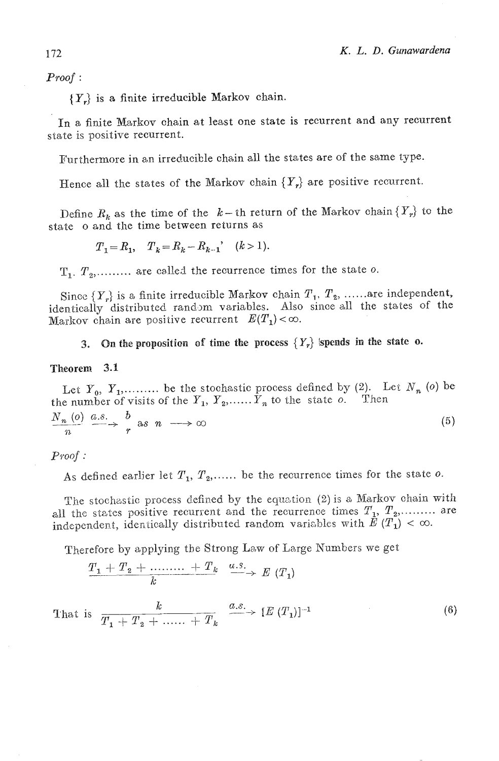Proof :

 ${Y_r}$  is a finite irreducible Markov chain.

In a finite Markov chain at least one state is recurrent **and** any recurrent state is positive recurrent.

E'urthermore in an irreducible chain all the states are of the same type.

Hence all the states of the Markov chain  $\{Y_r\}$  are positive recurrent.

Define  $R_k$  as the time of the  $k-$  th return of the Markov chain  $\{Y_r\}$  to the state o and the time between returns as

$$
T_1 = R_1
$$
,  $T_k = R_k - R_{k-1}$ ,  $(k > 1)$ .

 $T_1, T_2, \ldots$  are called the recurrence times for the state o.

Since  ${Y_r}$  is a finite irreducible Markov chain  $T_1, T_2, \ldots$  are independent, identically distributed random variables. Also since all the states of the Markov chain are positive recurrent  $E(T_1) < \infty$ .

**3.** On the proposition of time the process  $\{Y_r\}$  ispends in the state o.

#### Theorem **3.1**

Let  $Y_0$ ,  $Y_1$ ,......... be the stochastic process defined by (2). Let  $N_n$  (0) be the number of visits of the  $Y_1, Y_2, \ldots, Y_n$  to the state o. Then  $\overline{M}$  (a)  $\overline{a}$  e  $\overline{b}$ 

$$
\frac{N_n(0)}{n} \xrightarrow{\langle a, s \rangle} r \quad \text{as} \quad n \longrightarrow \infty \tag{5}
$$

### $Proof:$

As defined earlier let  $T_1, T_2, \ldots$  be the recurrence times for the state o.

The stochastic process defined by the equation (2) is a Markov chain with all the states positive recurrent and the recurrence times  $T_1, T_2,$ ......... are independent, identically distributed random variables with  $\tilde{E}(T_1) < \infty$ .

Therefore by applying the Strong Law of Large Numbers we get

$$
\frac{T_1+T_2+\ldots+T_k}{k}\xrightarrow{a.s.}E(T_1)
$$

That is  $\frac{k}{T_1 + T_2 + \dots + T_k}$   $\xrightarrow{a.s.} [E(T_1)]^{-1}$  $(6)$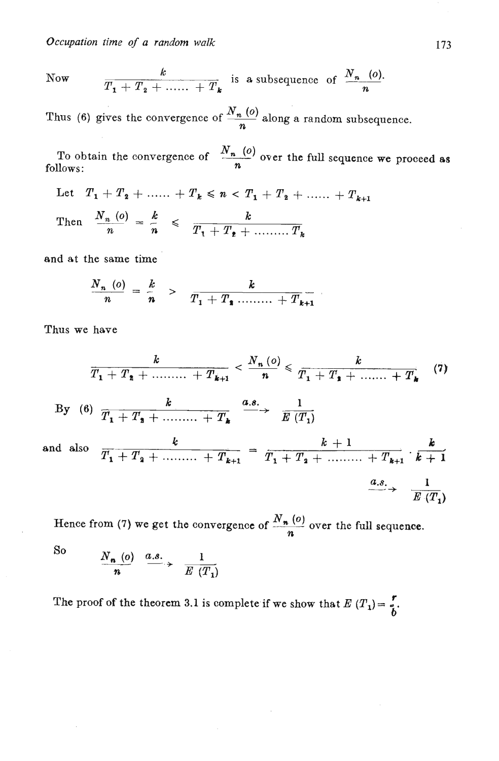*Occupation* **time** *of a random walk* 

Now 
$$
\frac{k}{T_1 + T_2 + \dots + T_k}
$$
 is a subsequence of  $\frac{N_n (o)}{n}$ .

Thus (6) gives the convergence of  $\frac{N_n(o)}{n}$  along a random subsequence.

To obtain the convergence of  $\frac{N_n(o)}{n}$  over the full sequence we proceed as follows:

Let  $T_1 + T_2 + \ldots + T_k \leq n \leq T_1 + T_2 + \ldots + T_{k+1}$ *N*<sub>n</sub> (0)<br> *Nows:*<br>
Let  $T_1 + T_2 + \dots + T_k \le n < T_1$ <br> *N*<sub>n</sub> (0)<br> *N*<sub>n</sub> (0) =  $\frac{k}{n} \le \frac{k}{T_1 + T_2 + \dots}$ Then  $\frac{N_n (o)}{n} = \frac{k}{n} \leq \frac{k}{T_1 + T_2 + \dots + T_k}$ 

and at the same time

$$
\frac{N_{n}(o)}{n} = \frac{k}{n} > \frac{k}{T_{1} + T_{2} \dots \dots + T_{k+1}}
$$

Thus we have

$$
\frac{k}{T_1 + T_2 + \dots + T_{k+1}} < \frac{N_n(o)}{n} \le \frac{k}{T_1 + T_2 + \dots + T_k} \quad (7)
$$
\nBy (6)

\n
$$
\frac{k}{T_1 + T_2 + \dots + T_k} \xrightarrow{a.s.} \frac{1}{E(T_1)}
$$
\nand also

\n
$$
\frac{k}{T_1 + T_2 + \dots + T_{k+1}} = \frac{k+1}{T_1 + T_2 + \dots + T_{k+1}} \cdot \frac{k}{k+1}
$$
\n
$$
\xrightarrow{a.s.} \frac{1}{E(T_1)}
$$

Hence from (7) we get the convergence of  $\frac{N_n(o)}{n}$  over the full sequence.

So

$$
\frac{N_{n}(o)}{n} \xrightarrow{a.s.} \frac{1}{E(T_{1})}
$$

The proof of the theorem 3.1 is complete if we show that  $E(T_1) = \frac{r}{b}$ .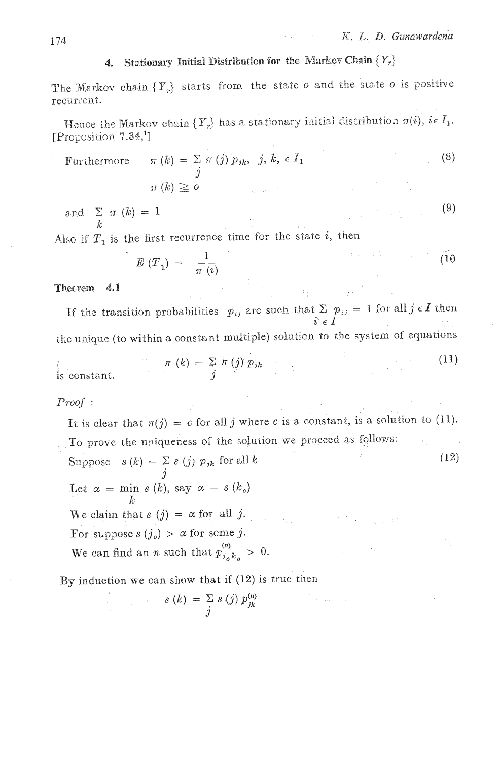$\label{eq:2} \mathcal{L}^{\text{max}}_{\text{max}} = \mathcal{L}^{\text{max}}_{\text{max}} + \mathcal{L}^{\text{max}}_{\text{max}} + \mathcal{L}^{\text{max}}_{\text{max}}$ 

 $(9)$ 

## 4. Stationary Initial Distribution for the Markov Chain  $\{Y_r\}$

The Markov chain  ${Y_r}$  starts from the state o and the state o is positive recurrent.

Hence the Markov chain  $\{Y_r\}$  has a stationary initial distribution  $\pi(i)$ ,  $i \in I_1$ . [Proposition 7.34,1]

Furthermore 
$$
\pi(k) = \sum_{j} \pi(j) p_{jk}, j, k, \epsilon I_1
$$
 (3)  
 $\pi(k) \ge 0$ 

and  $\sum_{\tau} \pi(k) = 1$ 

Also if  $T_1$  is the first recurrence time for the state *i*, then

$$
E(T_1) = \frac{1}{\pi(\nu)}
$$
 (10)

#### Theorem 4.1

If the transition probabilities  $p_{ij}$  are such that  $\Sigma$   $p_{ij} = 1$  for all  $j \in I$  then  $i \in I$ the unique (to within a constant multiple) solution to the system of equations

$$
\pi(k) = \sum_{j} h(j) p_{jk}
$$
 (11)

## $Proof:$

It is clear that  $\pi(j) = c$  for all j where c is a constant, is a solution to (11). To prove the uniqueness of the solution we proceed as follows: Æ. Suppose  $s(k) = \sum_{j} s(j) p_{jk}$  for all k  $(12)$ Let  $\alpha = \min s(k)$ , say  $\alpha = s(k_o)$ We claim that  $s(j) = \alpha$  for all j.  $\alpha = 2\pi/2$  . For suppose  $s(j_o) > \alpha$  for some j. VЧ. We can find an *n* such that  $p_{i_0 k_0}^{(n)} > 0$ .

By induction we can show that if (12) is true then

$$
s(k) = \sum_{j} s(j) p_{jk}^{(n)}
$$